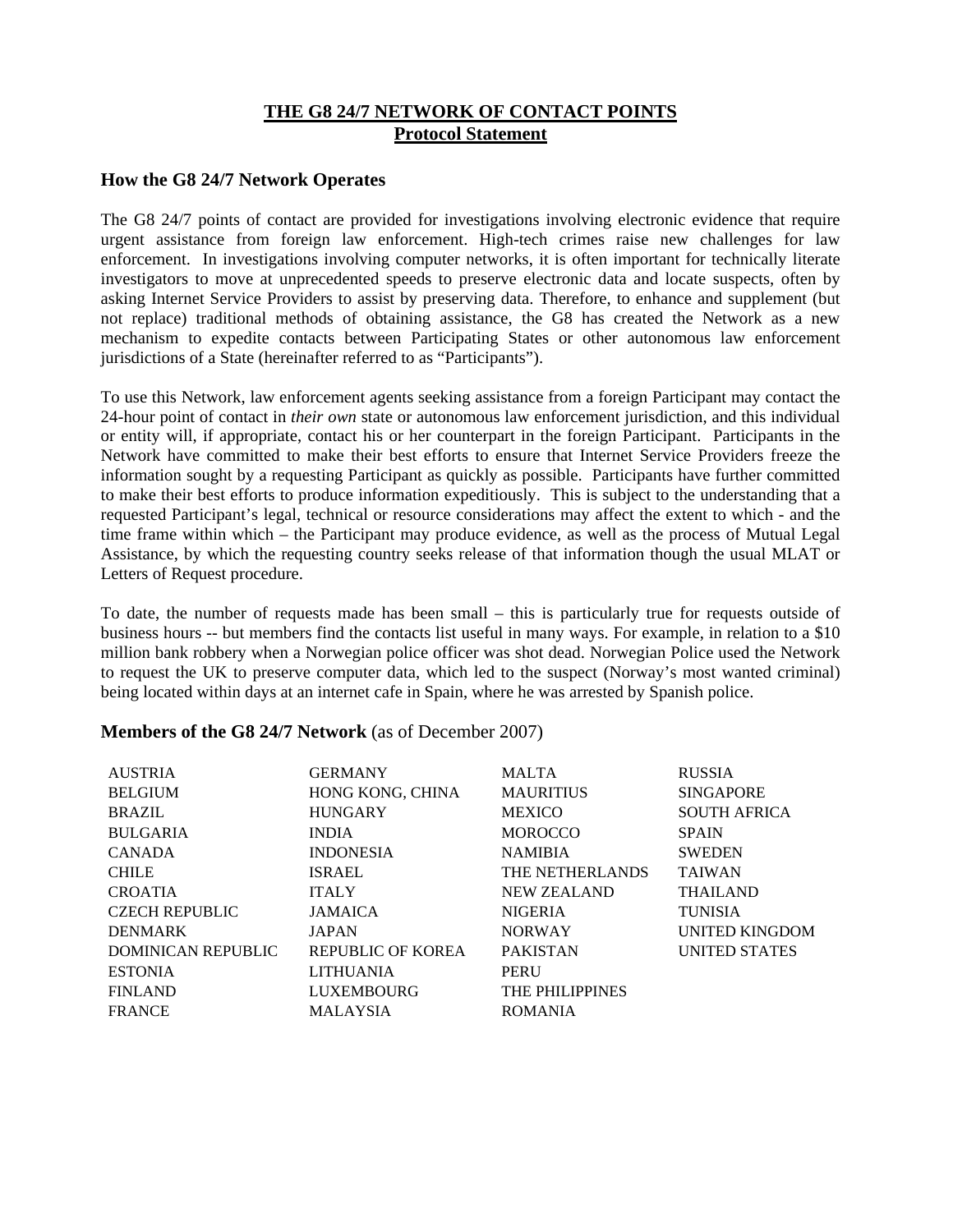# **THE G8 24/7 NETWORK OF CONTACT POINTS Protocol Statement**

## **How the G8 24/7 Network Operates**

The G8 24/7 points of contact are provided for investigations involving electronic evidence that require urgent assistance from foreign law enforcement. High-tech crimes raise new challenges for law enforcement. In investigations involving computer networks, it is often important for technically literate investigators to move at unprecedented speeds to preserve electronic data and locate suspects, often by asking Internet Service Providers to assist by preserving data. Therefore, to enhance and supplement (but not replace) traditional methods of obtaining assistance, the G8 has created the Network as a new mechanism to expedite contacts between Participating States or other autonomous law enforcement jurisdictions of a State (hereinafter referred to as "Participants").

To use this Network, law enforcement agents seeking assistance from a foreign Participant may contact the 24-hour point of contact in *their own* state or autonomous law enforcement jurisdiction, and this individual or entity will, if appropriate, contact his or her counterpart in the foreign Participant. Participants in the Network have committed to make their best efforts to ensure that Internet Service Providers freeze the information sought by a requesting Participant as quickly as possible. Participants have further committed to make their best efforts to produce information expeditiously. This is subject to the understanding that a requested Participant's legal, technical or resource considerations may affect the extent to which - and the time frame within which – the Participant may produce evidence, as well as the process of Mutual Legal Assistance, by which the requesting country seeks release of that information though the usual MLAT or Letters of Request procedure.

To date, the number of requests made has been small – this is particularly true for requests outside of business hours -- but members find the contacts list useful in many ways. For example, in relation to a \$10 million bank robbery when a Norwegian police officer was shot dead. Norwegian Police used the Network to request the UK to preserve computer data, which led to the suspect (Norway's most wanted criminal) being located within days at an internet cafe in Spain, where he was arrested by Spanish police.

## **Members of the G8 24/7 Network** (as of December 2007)

| <b>GERMANY</b>    | <b>MALTA</b>       | <b>RUSSIA</b>         |
|-------------------|--------------------|-----------------------|
| HONG KONG, CHINA  | <b>MAURITIUS</b>   | <b>SINGAPORE</b>      |
| <b>HUNGARY</b>    | <b>MEXICO</b>      | <b>SOUTH AFRICA</b>   |
| <b>INDIA</b>      | <b>MOROCCO</b>     | <b>SPAIN</b>          |
| <b>INDONESIA</b>  | <b>NAMIBIA</b>     | <b>SWEDEN</b>         |
| <b>ISRAEL</b>     | THE NETHERLANDS    | <b>TAIWAN</b>         |
| <b>ITALY</b>      | <b>NEW ZEALAND</b> | <b>THAILAND</b>       |
| <b>JAMAICA</b>    | <b>NIGERIA</b>     | <b>TUNISIA</b>        |
| <b>JAPAN</b>      | <b>NORWAY</b>      | <b>UNITED KINGDOM</b> |
| REPUBLIC OF KOREA | <b>PAKISTAN</b>    | <b>UNITED STATES</b>  |
| <b>LITHUANIA</b>  | PERU               |                       |
| <b>LUXEMBOURG</b> | THE PHILIPPINES    |                       |
| <b>MALAYSIA</b>   | <b>ROMANIA</b>     |                       |
|                   |                    |                       |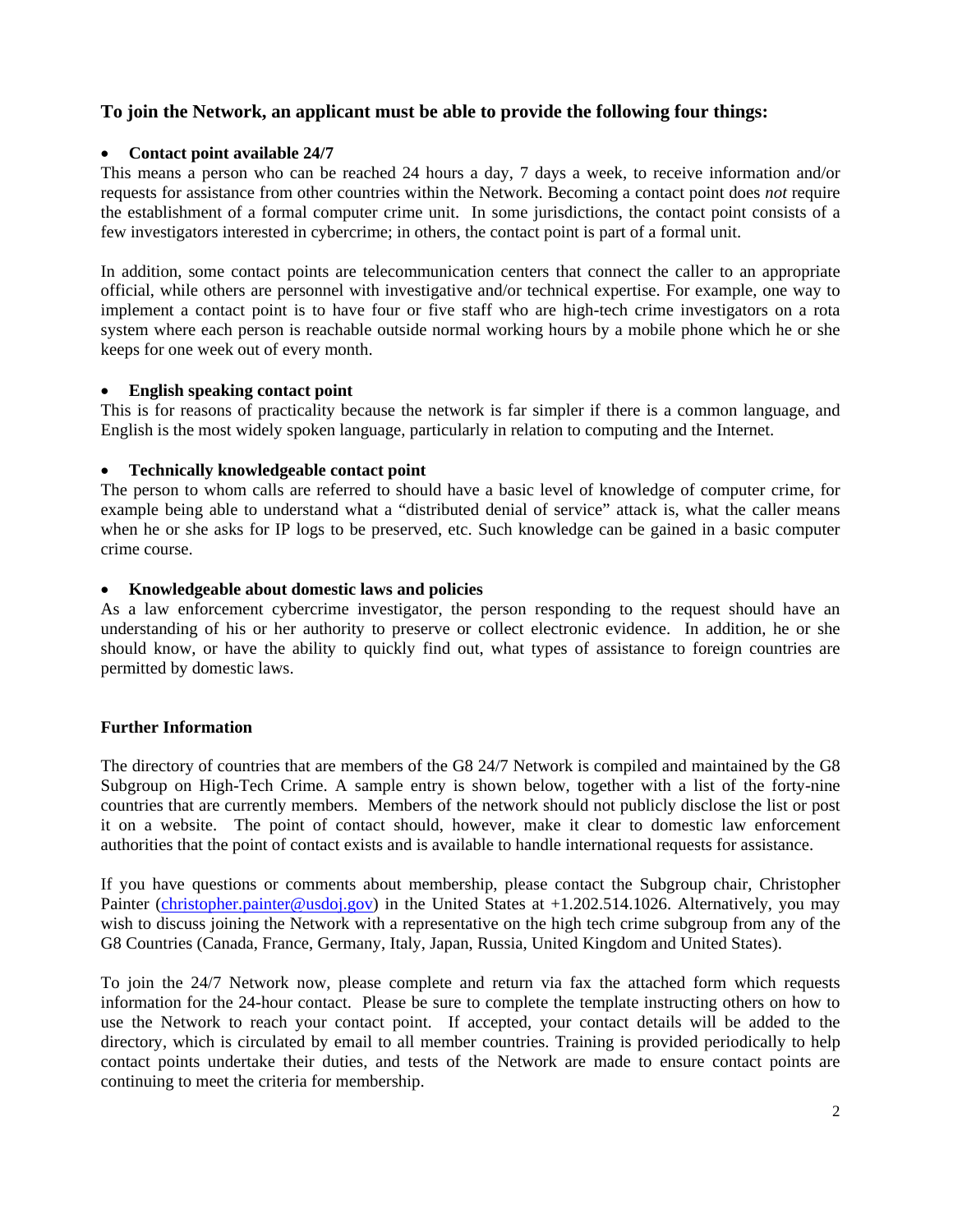# **To join the Network, an applicant must be able to provide the following four things:**

## • **Contact point available 24/7**

This means a person who can be reached 24 hours a day, 7 days a week, to receive information and/or requests for assistance from other countries within the Network. Becoming a contact point does *not* require the establishment of a formal computer crime unit. In some jurisdictions, the contact point consists of a few investigators interested in cybercrime; in others, the contact point is part of a formal unit.

In addition, some contact points are telecommunication centers that connect the caller to an appropriate official, while others are personnel with investigative and/or technical expertise. For example, one way to implement a contact point is to have four or five staff who are high-tech crime investigators on a rota system where each person is reachable outside normal working hours by a mobile phone which he or she keeps for one week out of every month.

## • **English speaking contact point**

This is for reasons of practicality because the network is far simpler if there is a common language, and English is the most widely spoken language, particularly in relation to computing and the Internet.

## • **Technically knowledgeable contact point**

The person to whom calls are referred to should have a basic level of knowledge of computer crime, for example being able to understand what a "distributed denial of service" attack is, what the caller means when he or she asks for IP logs to be preserved, etc. Such knowledge can be gained in a basic computer crime course.

#### • **Knowledgeable about domestic laws and policies**

As a law enforcement cybercrime investigator, the person responding to the request should have an understanding of his or her authority to preserve or collect electronic evidence. In addition, he or she should know, or have the ability to quickly find out, what types of assistance to foreign countries are permitted by domestic laws.

## **Further Information**

The directory of countries that are members of the G8 24/7 Network is compiled and maintained by the G8 Subgroup on High-Tech Crime. A sample entry is shown below, together with a list of the forty-nine countries that are currently members. Members of the network should not publicly disclose the list or post it on a website. The point of contact should, however, make it clear to domestic law enforcement authorities that the point of contact exists and is available to handle international requests for assistance.

If you have questions or comments about membership, please contact the Subgroup chair, Christopher Painter ([christopher.painter@usdoj.gov\)](mailto:christopher.painter@usdoj.gov) in the United States at +1.202.514.1026. Alternatively, you may wish to discuss joining the Network with a representative on the high tech crime subgroup from any of the G8 Countries (Canada, France, Germany, Italy, Japan, Russia, United Kingdom and United States).

To join the 24/7 Network now, please complete and return via fax the attached form which requests information for the 24-hour contact. Please be sure to complete the template instructing others on how to use the Network to reach your contact point. If accepted, your contact details will be added to the directory, which is circulated by email to all member countries. Training is provided periodically to help contact points undertake their duties, and tests of the Network are made to ensure contact points are continuing to meet the criteria for membership.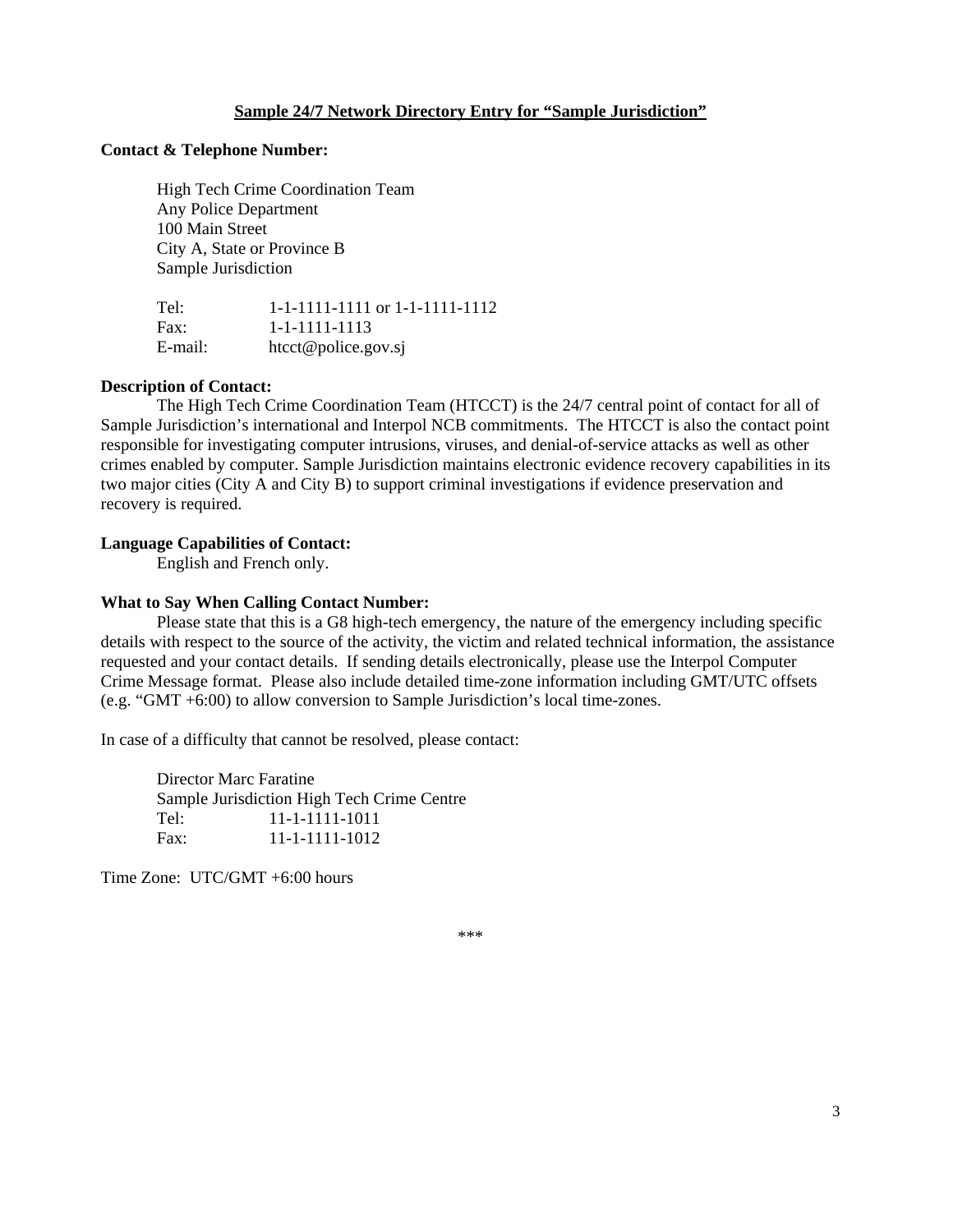#### **Sample 24/7 Network Directory Entry for "Sample Jurisdiction"**

#### **Contact & Telephone Number:**

 High Tech Crime Coordination Team Any Police Department 100 Main Street City A, State or Province B Sample Jurisdiction

 Tel: 1-1-1111-1111 or 1-1-1111-1112 Fax: 1-1-1111-1113 E-mail: htcct@police.gov.sj

#### **Description of Contact:**

 The High Tech Crime Coordination Team (HTCCT) is the 24/7 central point of contact for all of Sample Jurisdiction's international and Interpol NCB commitments. The HTCCT is also the contact point responsible for investigating computer intrusions, viruses, and denial-of-service attacks as well as other crimes enabled by computer. Sample Jurisdiction maintains electronic evidence recovery capabilities in its two major cities (City A and City B) to support criminal investigations if evidence preservation and recovery is required.

#### **Language Capabilities of Contact:**

English and French only.

#### **What to Say When Calling Contact Number:**

Please state that this is a G8 high-tech emergency, the nature of the emergency including specific details with respect to the source of the activity, the victim and related technical information, the assistance requested and your contact details. If sending details electronically, please use the Interpol Computer Crime Message format. Please also include detailed time-zone information including GMT/UTC offsets (e.g. "GMT +6:00) to allow conversion to Sample Jurisdiction's local time-zones.

In case of a difficulty that cannot be resolved, please contact:

 Director Marc Faratine Sample Jurisdiction High Tech Crime Centre Tel: 11-1-1111-1011 Fax: 11-1-1111-1012

Time Zone: UTC/GMT +6:00 hours

\*\*\*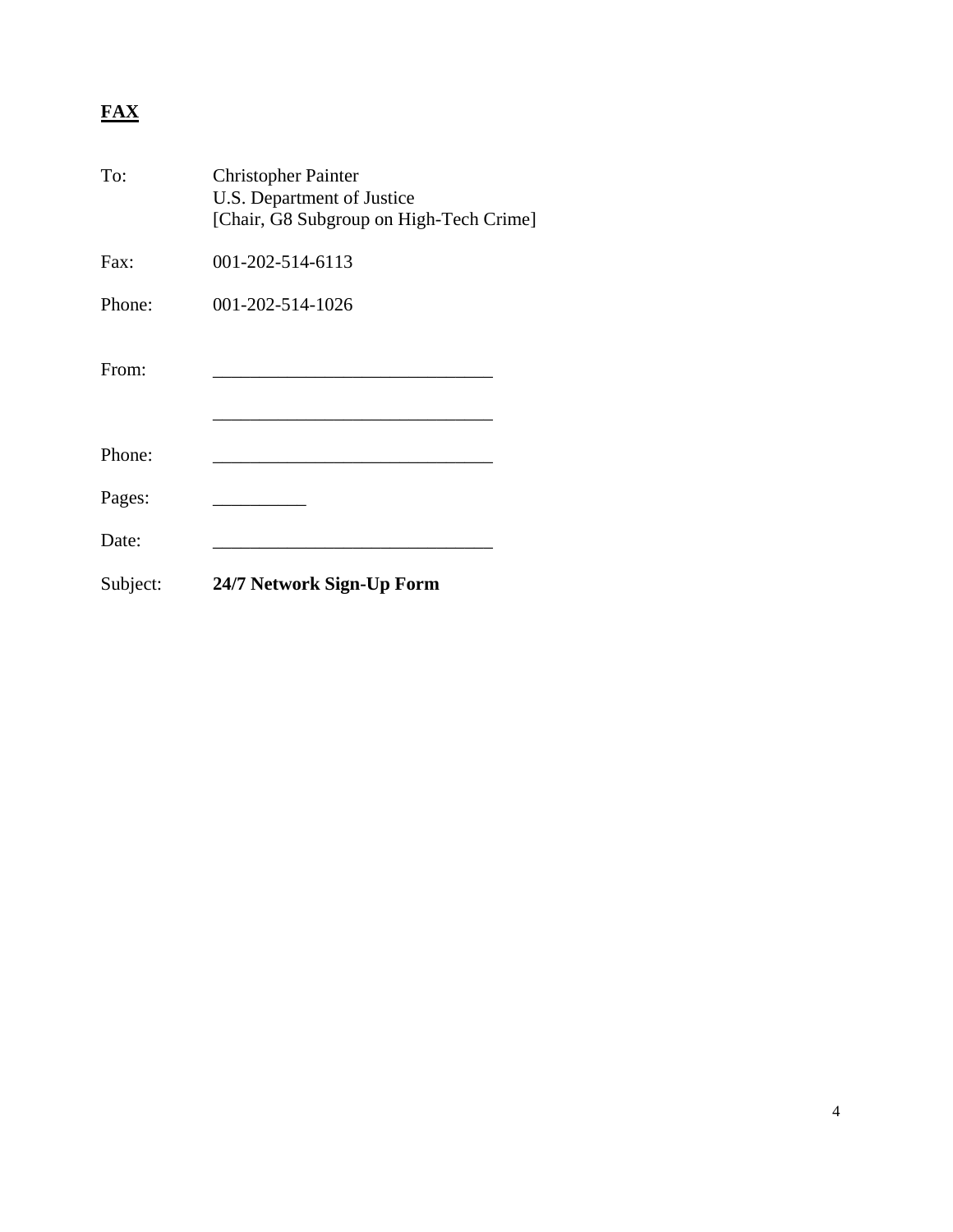# **FAX**

| To:      | <b>Christopher Painter</b><br>U.S. Department of Justice<br>[Chair, G8 Subgroup on High-Tech Crime] |  |
|----------|-----------------------------------------------------------------------------------------------------|--|
| Fax:     | 001-202-514-6113                                                                                    |  |
| Phone:   | 001-202-514-1026                                                                                    |  |
| From:    |                                                                                                     |  |
| Phone:   |                                                                                                     |  |
| Pages:   |                                                                                                     |  |
| Date:    |                                                                                                     |  |
| Subject: | 24/7 Network Sign-Up Form                                                                           |  |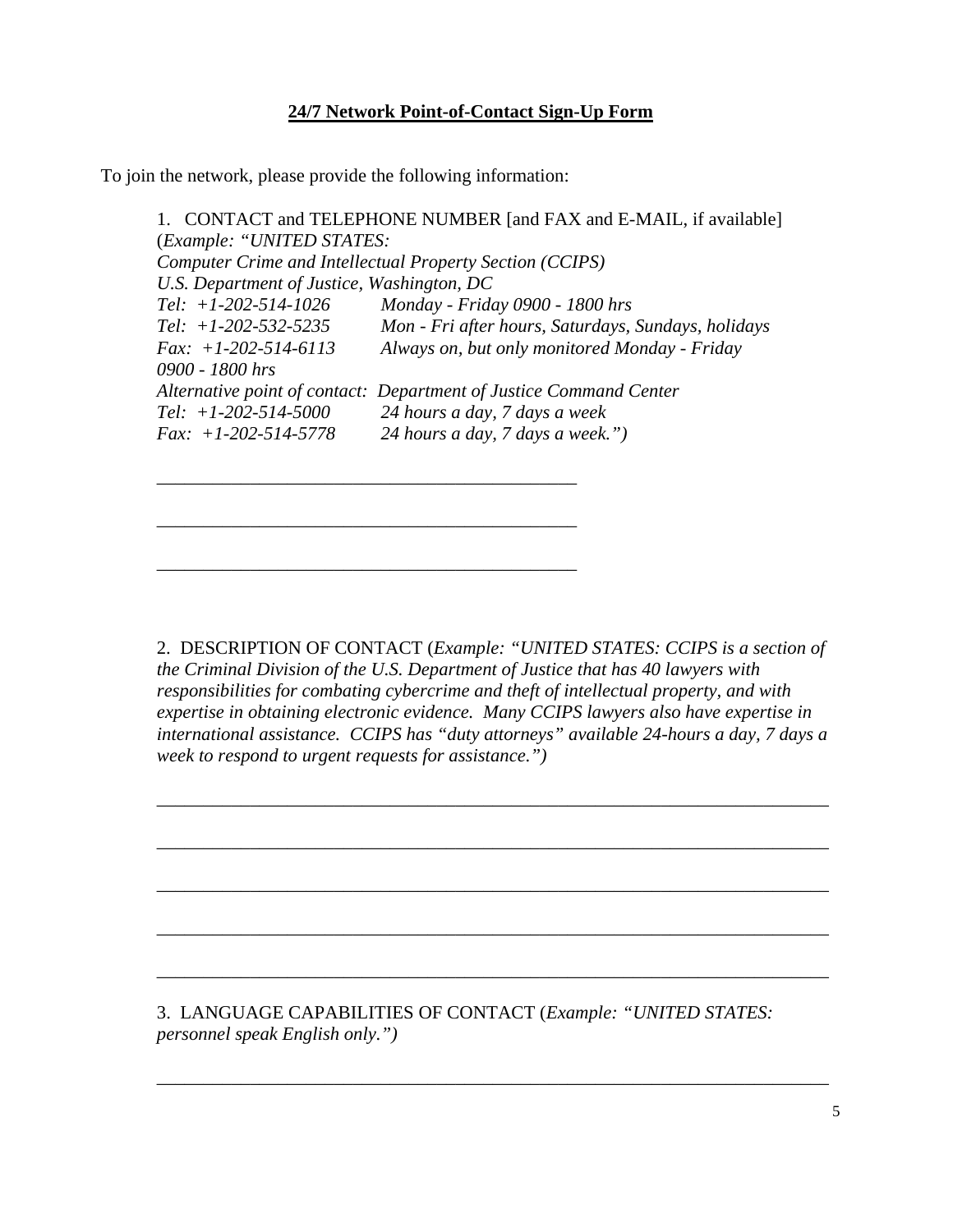# **24/7 Network Point-of-Contact Sign-Up Form**

To join the network, please provide the following information:

*\_\_\_\_\_\_\_\_\_\_\_\_\_\_\_\_\_\_\_\_\_\_\_\_\_\_\_\_\_\_\_\_\_\_\_\_\_\_\_\_\_\_\_\_\_* 

*\_\_\_\_\_\_\_\_\_\_\_\_\_\_\_\_\_\_\_\_\_\_\_\_\_\_\_\_\_\_\_\_\_\_\_\_\_\_\_\_\_\_\_\_\_* 

*\_\_\_\_\_\_\_\_\_\_\_\_\_\_\_\_\_\_\_\_\_\_\_\_\_\_\_\_\_\_\_\_\_\_\_\_\_\_\_\_\_\_\_\_\_* 

1. CONTACT and TELEPHONE NUMBER [and FAX and E-MAIL, if available] (*Example: "UNITED STATES: Computer Crime and Intellectual Property Section (CCIPS) U.S. Department of Justice, Washington, DC Tel: +1-202-514-1026 Monday - Friday 0900 - 1800 hrs Tel: +1-202-532-5235 Mon - Fri after hours, Saturdays, Sundays, holidays Fax: +1-202-514-6113 Always on, but only monitored Monday - Friday 0900 - 1800 hrs Alternative point of contact: Department of Justice Command Center Tel: +1-202-514-5000 24 hours a day, 7 days a week Fax: +1-202-514-5778 24 hours a day, 7 days a week.")* 

2. DESCRIPTION OF CONTACT (*Example: "UNITED STATES: CCIPS is a section of the Criminal Division of the U.S. Department of Justice that has 40 lawyers with responsibilities for combating cybercrime and theft of intellectual property, and with expertise in obtaining electronic evidence. Many CCIPS lawyers also have expertise in international assistance. CCIPS has "duty attorneys" available 24-hours a day, 7 days a week to respond to urgent requests for assistance.")* 

*\_\_\_\_\_\_\_\_\_\_\_\_\_\_\_\_\_\_\_\_\_\_\_\_\_\_\_\_\_\_\_\_\_\_\_\_\_\_\_\_\_\_\_\_\_\_\_\_\_\_\_\_\_\_\_\_\_\_\_\_\_\_\_\_\_\_\_\_\_\_\_\_* 

*\_\_\_\_\_\_\_\_\_\_\_\_\_\_\_\_\_\_\_\_\_\_\_\_\_\_\_\_\_\_\_\_\_\_\_\_\_\_\_\_\_\_\_\_\_\_\_\_\_\_\_\_\_\_\_\_\_\_\_\_\_\_\_\_\_\_\_\_\_\_\_\_* 

*\_\_\_\_\_\_\_\_\_\_\_\_\_\_\_\_\_\_\_\_\_\_\_\_\_\_\_\_\_\_\_\_\_\_\_\_\_\_\_\_\_\_\_\_\_\_\_\_\_\_\_\_\_\_\_\_\_\_\_\_\_\_\_\_\_\_\_\_\_\_\_\_* 

*\_\_\_\_\_\_\_\_\_\_\_\_\_\_\_\_\_\_\_\_\_\_\_\_\_\_\_\_\_\_\_\_\_\_\_\_\_\_\_\_\_\_\_\_\_\_\_\_\_\_\_\_\_\_\_\_\_\_\_\_\_\_\_\_\_\_\_\_\_\_\_\_* 

*\_\_\_\_\_\_\_\_\_\_\_\_\_\_\_\_\_\_\_\_\_\_\_\_\_\_\_\_\_\_\_\_\_\_\_\_\_\_\_\_\_\_\_\_\_\_\_\_\_\_\_\_\_\_\_\_\_\_\_\_\_\_\_\_\_\_\_\_\_\_\_\_* 

*\_\_\_\_\_\_\_\_\_\_\_\_\_\_\_\_\_\_\_\_\_\_\_\_\_\_\_\_\_\_\_\_\_\_\_\_\_\_\_\_\_\_\_\_\_\_\_\_\_\_\_\_\_\_\_\_\_\_\_\_\_\_\_\_\_\_\_\_\_\_\_\_* 

3. LANGUAGE CAPABILITIES OF CONTACT (*Example: "UNITED STATES: personnel speak English only.")*